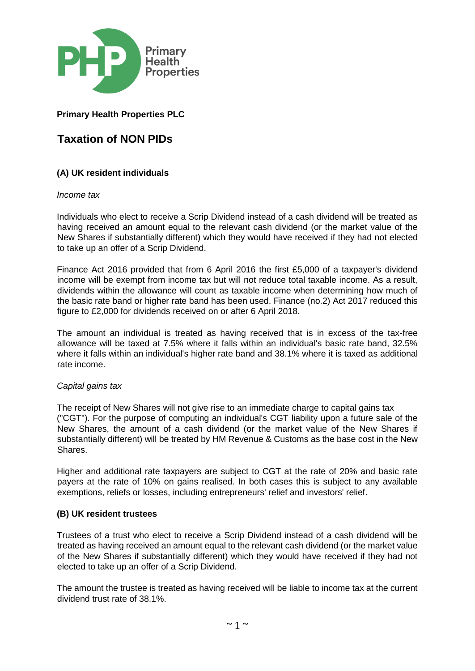

## **Primary Health Properties PLC**

# **Taxation of NON PIDs**

### **(A) UK resident individuals**

*Income tax* 

Individuals who elect to receive a Scrip Dividend instead of a cash dividend will be treated as having received an amount equal to the relevant cash dividend (or the market value of the New Shares if substantially different) which they would have received if they had not elected to take up an offer of a Scrip Dividend.

Finance Act 2016 provided that from 6 April 2016 the first £5,000 of a taxpayer's dividend income will be exempt from income tax but will not reduce total taxable income. As a result, dividends within the allowance will count as taxable income when determining how much of the basic rate band or higher rate band has been used. Finance (no.2) Act 2017 reduced this figure to £2,000 for dividends received on or after 6 April 2018.

The amount an individual is treated as having received that is in excess of the tax-free allowance will be taxed at 7.5% where it falls within an individual's basic rate band, 32.5% where it falls within an individual's higher rate band and 38.1% where it is taxed as additional rate income.

#### *Capital gains tax*

The receipt of New Shares will not give rise to an immediate charge to capital gains tax ("CGT"). For the purpose of computing an individual's CGT liability upon a future sale of the New Shares, the amount of a cash dividend (or the market value of the New Shares if substantially different) will be treated by HM Revenue & Customs as the base cost in the New Shares.

Higher and additional rate taxpayers are subject to CGT at the rate of 20% and basic rate payers at the rate of 10% on gains realised. In both cases this is subject to any available exemptions, reliefs or losses, including entrepreneurs' relief and investors' relief.

#### **(B) UK resident trustees**

Trustees of a trust who elect to receive a Scrip Dividend instead of a cash dividend will be treated as having received an amount equal to the relevant cash dividend (or the market value of the New Shares if substantially different) which they would have received if they had not elected to take up an offer of a Scrip Dividend.

The amount the trustee is treated as having received will be liable to income tax at the current dividend trust rate of 38.1%.